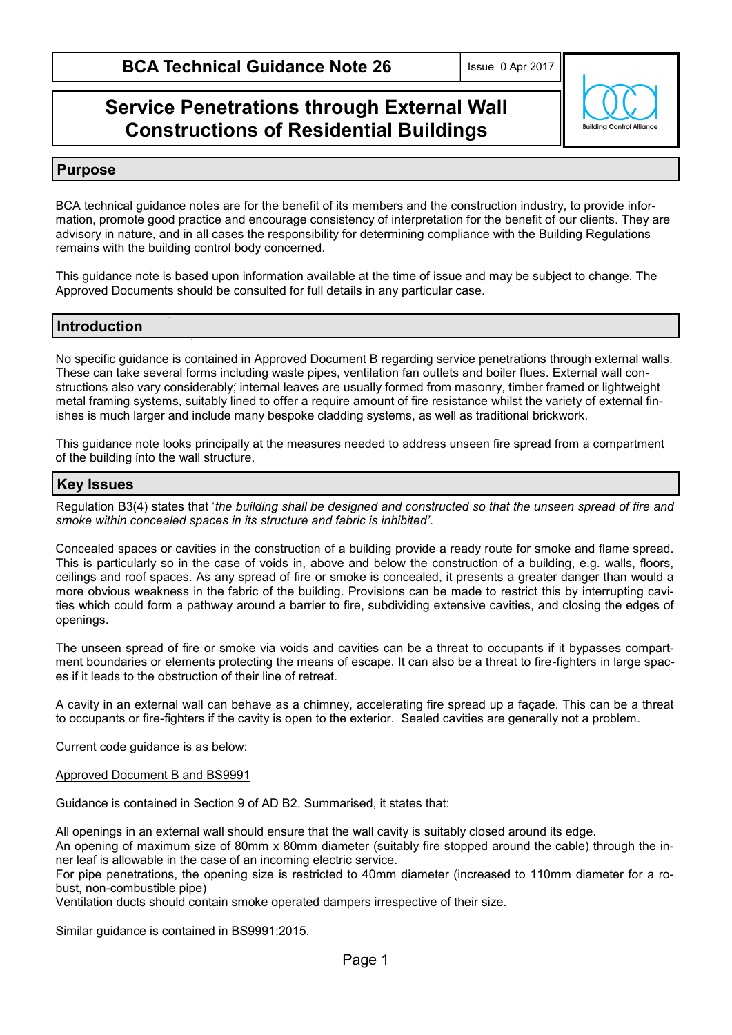# **Service Penetrations through External Wall Constructions of Residential Buildings**



#### **Purpose**

BCA technical guidance notes are for the benefit of its members and the construction industry, to provide information, promote good practice and encourage consistency of interpretation for the benefit of our clients. They are advisory in nature, and in all cases the responsibility for determining compliance with the Building Regulations remains with the building control body concerned.

This guidance note is based upon information available at the time of issue and may be subject to change. The Approved Documents should be consulted for full details in any particular case.

## **Introduction**

No specific guidance is contained in Approved Document B regarding service penetrations through external walls. These can take several forms including waste pipes, ventilation fan outlets and boiler flues. External wall constructions also vary considerably; internal leaves are usually formed from masonry, timber framed or lightweight metal framing systems, suitably lined to offer a require amount of fire resistance whilst the variety of external finishes is much larger and include many bespoke cladding systems, as well as traditional brickwork.

This guidance note looks principally at the measures needed to address unseen fire spread from a compartment of the building into the wall structure.

#### **Key Issues**

Regulation B3(4) states that '*the building shall be designed and constructed so that the unseen spread of fire and smoke within concealed spaces in its structure and fabric is inhibited'*.

Concealed spaces or cavities in the construction of a building provide a ready route for smoke and flame spread. This is particularly so in the case of voids in, above and below the construction of a building, e.g. walls, floors, ceilings and roof spaces. As any spread of fire or smoke is concealed, it presents a greater danger than would a more obvious weakness in the fabric of the building. Provisions can be made to restrict this by interrupting cavities which could form a pathway around a barrier to fire, subdividing extensive cavities, and closing the edges of openings.

The unseen spread of fire or smoke via voids and cavities can be a threat to occupants if it bypasses compartment boundaries or elements protecting the means of escape. It can also be a threat to fire-fighters in large spaces if it leads to the obstruction of their line of retreat.

A cavity in an external wall can behave as a chimney, accelerating fire spread up a façade. This can be a threat to occupants or fire-fighters if the cavity is open to the exterior. Sealed cavities are generally not a problem.

Current code guidance is as below:

Approved Document B and BS9991

Guidance is contained in Section 9 of AD B2. Summarised, it states that:

All openings in an external wall should ensure that the wall cavity is suitably closed around its edge.

An opening of maximum size of 80mm x 80mm diameter (suitably fire stopped around the cable) through the inner leaf is allowable in the case of an incoming electric service.

For pipe penetrations, the opening size is restricted to 40mm diameter (increased to 110mm diameter for a robust, non-combustible pipe)

Ventilation ducts should contain smoke operated dampers irrespective of their size.

Similar guidance is contained in BS9991:2015.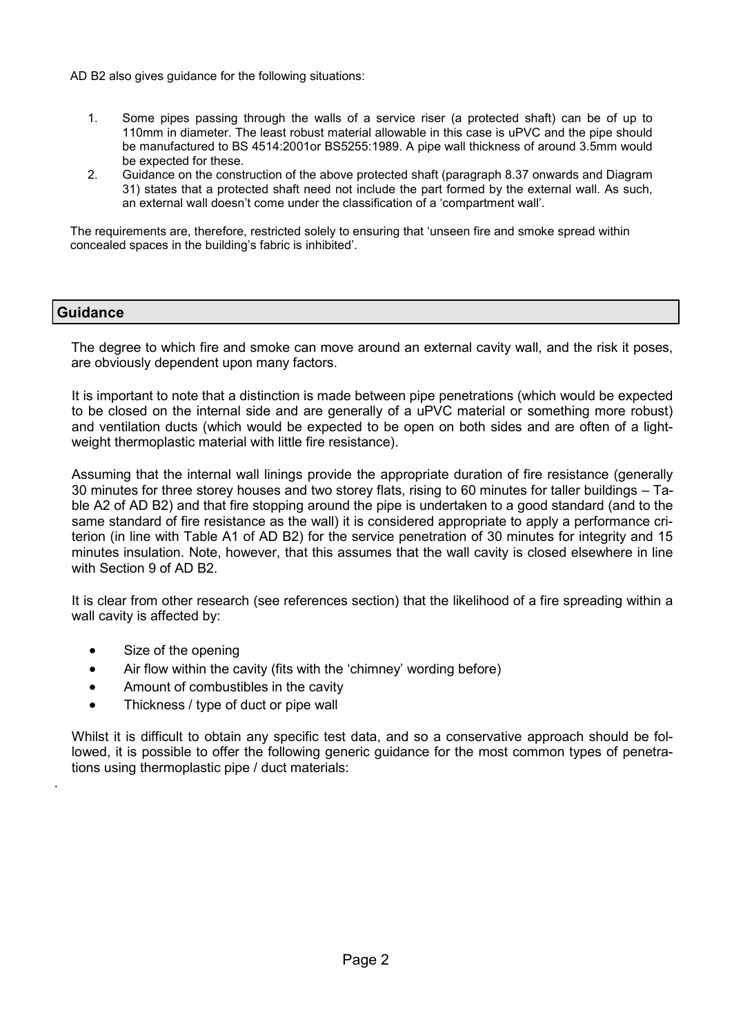AD B2 also gives guidance for the following situations:

- 1. Some pipes passing through the walls of a service riser (a protected shaft) can be of up to 110mm in diameter. The least robust material allowable in this case is uPVC and the pipe should be manufactured to BS 4514:2001or BS5255:1989. A pipe wall thickness of around 3.5mm would be expected for these.
- 2. Guidance on the construction of the above protected shaft (paragraph 8.37 onwards and Diagram 31) states that a protected shaft need not include the part formed by the external wall. As such, an external wall doesn't come under the classification of a 'compartment wall'.

The requirements are, therefore, restricted solely to ensuring that 'unseen fire and smoke spread within concealed spaces in the building's fabric is inhibited'.

### **Guidance**

.

The degree to which fire and smoke can move around an external cavity wall, and the risk it poses, are obviously dependent upon many factors.

It is important to note that a distinction is made between pipe penetrations (which would be expected to be closed on the internal side and are generally of a uPVC material or something more robust) and ventilation ducts (which would be expected to be open on both sides and are often of a lightweight thermoplastic material with little fire resistance).

Assuming that the internal wall linings provide the appropriate duration of fire resistance (generally 30 minutes for three storey houses and two storey flats, rising to 60 minutes for taller buildings – Table A2 of AD B2) and that fire stopping around the pipe is undertaken to a good standard (and to the same standard of fire resistance as the wall) it is considered appropriate to apply a performance criterion (in line with Table A1 of AD B2) for the service penetration of 30 minutes for integrity and 15 minutes insulation. Note, however, that this assumes that the wall cavity is closed elsewhere in line with Section 9 of AD B2.

It is clear from other research (see references section) that the likelihood of a fire spreading within a wall cavity is affected by:

- Size of the opening
- Air flow within the cavity (fits with the 'chimney' wording before)
- Amount of combustibles in the cavity
- Thickness / type of duct or pipe wall

Whilst it is difficult to obtain any specific test data, and so a conservative approach should be followed, it is possible to offer the following generic guidance for the most common types of penetrations using thermoplastic pipe / duct materials: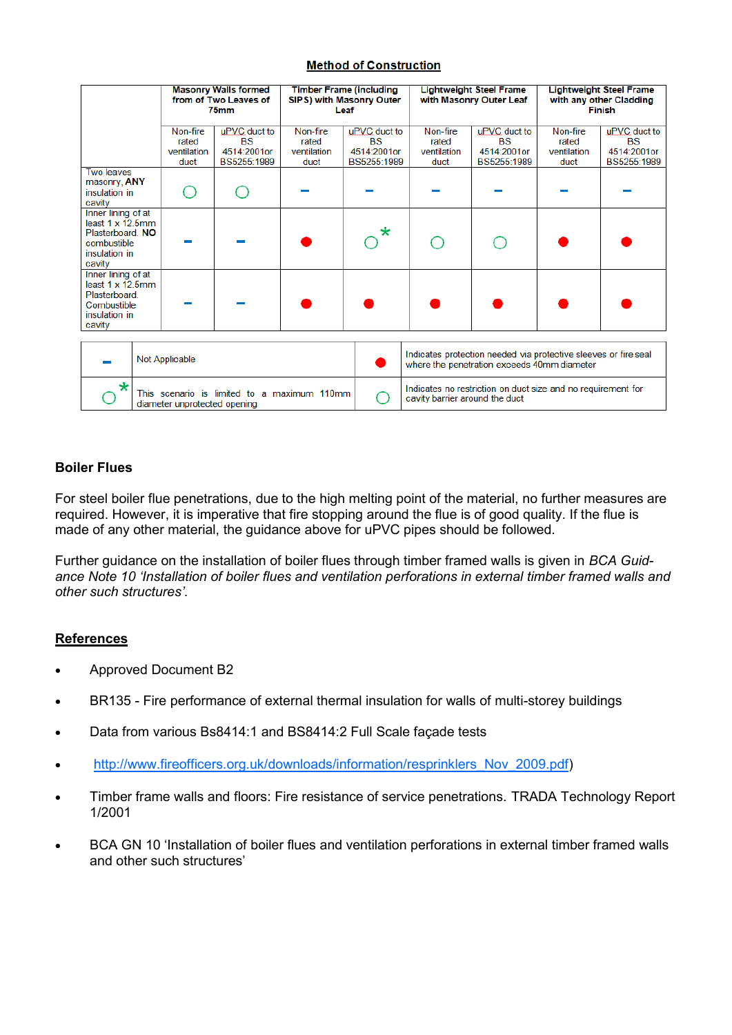#### **Method of Construction**

|                                                                                                              |                                                                             |  | <b>Masonry Walls formed</b><br>from of Two Leaves of<br>75mm | Leaf                                     | <b>Timber Frame (including</b><br>SIPS) with Masonry Outer | <b>Lightweight Steel Frame</b><br>with Masonry Outer Leaf                                                      |                                                         | <b>Lightweight Steel Frame</b><br>with any other Cladding<br><b>Finish</b> |                                                         |
|--------------------------------------------------------------------------------------------------------------|-----------------------------------------------------------------------------|--|--------------------------------------------------------------|------------------------------------------|------------------------------------------------------------|----------------------------------------------------------------------------------------------------------------|---------------------------------------------------------|----------------------------------------------------------------------------|---------------------------------------------------------|
|                                                                                                              | Non-fire<br>rated<br>ventilation<br>duct                                    |  | uPVC duct to<br><b>BS</b><br>4514:2001or<br>BS5255:1989      | Non-fire<br>rated<br>ventilation<br>duct | uPVC duct to<br><b>BS</b><br>4514:2001or<br>BS5255:1989    | Non-fire<br>rated<br>ventilation<br>duct                                                                       | uPVC duct to<br><b>BS</b><br>4514:2001or<br>BS5255:1989 | Non-fire<br>rated<br>ventilation<br>duct                                   | uPVC duct to<br><b>BS</b><br>4514:2001or<br>BS5255:1989 |
| <b>Two leaves</b><br>masonry, ANY<br>insulation in<br>cavity                                                 |                                                                             |  |                                                              |                                          |                                                            |                                                                                                                |                                                         |                                                                            |                                                         |
| Inner lining of at<br>least $1 \times 12.5$ mm<br>Plasterboard. NO<br>combustible<br>insulation in<br>cavity |                                                                             |  |                                                              |                                          | $\star$                                                    |                                                                                                                |                                                         |                                                                            |                                                         |
| Inner lining of at<br>least $1 \times 12.5$ mm<br>Plasterboard.<br>Combustible<br>insulation in<br>cavity    |                                                                             |  |                                                              |                                          |                                                            |                                                                                                                |                                                         |                                                                            |                                                         |
|                                                                                                              | Not Applicable                                                              |  |                                                              |                                          |                                                            | Indicates protection needed via protective sleeves or fire seal<br>where the penetration exceeds 40mm diameter |                                                         |                                                                            |                                                         |
| $\star$                                                                                                      | This scenario is limited to a maximum 110mm<br>diameter unprotected opening |  |                                                              |                                          |                                                            | Indicates no restriction on duct size and no requirement for<br>cavity barrier around the duct                 |                                                         |                                                                            |                                                         |

#### **Boiler Flues**

For steel boiler flue penetrations, due to the high melting point of the material, no further measures are required. However, it is imperative that fire stopping around the flue is of good quality. If the flue is made of any other material, the guidance above for uPVC pipes should be followed.

Further guidance on the installation of boiler flues through timber framed walls is given in *BCA Guidance Note 10 'Installation of boiler flues and ventilation perforations in external timber framed walls and other such structures'*.

#### **References**

- Approved Document B2
- BR135 Fire performance of external thermal insulation for walls of multi-storey buildings
- Data from various Bs8414:1 and BS8414:2 Full Scale façade tests
- [http://www.fireofficers.org.uk/downloads/information/resprinklers\\_Nov\\_2009.pdf\)](http://www.fireofficers.org.uk/downloads/information/resprinklers_Nov_2009.pdf)
- Timber frame walls and floors: Fire resistance of service penetrations. TRADA Technology Report 1/2001
- BCA GN 10 'Installation of boiler flues and ventilation perforations in external timber framed walls and other such structures'